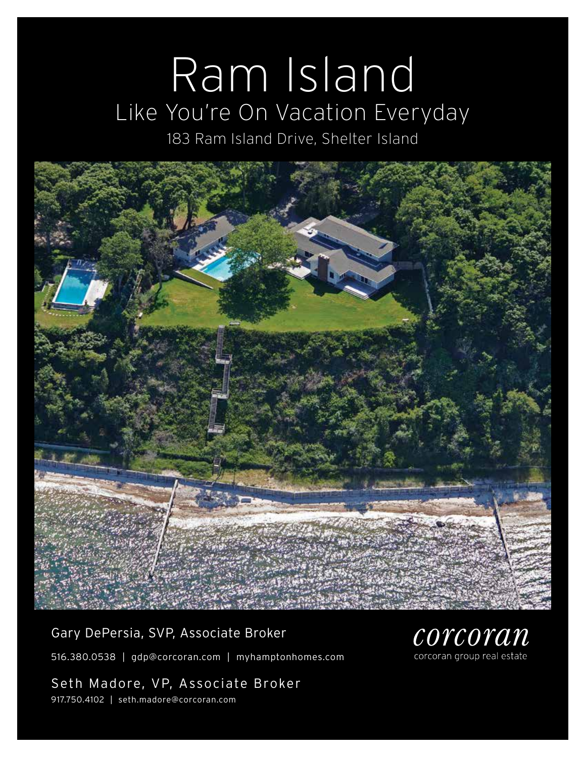## Ram Island Like You're On Vacation Everyday 183 Ram Island Drive, Shelter Island

Gary DePersia, SVP, Associate Broker

516.380.0538 | gdp@corcoran.com | myhamptonhomes.com

Seth Madore, VP, Associate Broker 917.750.4102 | seth.madore@corcoran.com

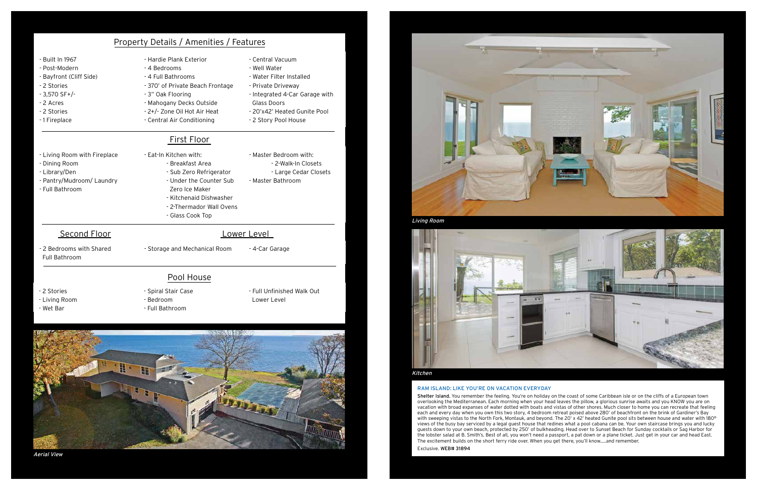## Ram Island: like you're on vacation everyday

Shelter Island. You remember the feeling. You're on holiday on the coast of some Caribbean isle or on the cliffs of a European town overlooking the Mediterranean. Each morning when your head leaves the pillow, a glorious sunrise awaits and you KNOW you are on vacation with broad expanses of water dotted with boats and vistas of other shores. Much closer to home you can recreate that feeling each and every day when you own this two story, 4 bedroom retreat poised above 280' of beachfront on the brink of Gardiner's Bay with sweeping vistas to the North Fork, Montauk, and beyond. The 20' x 42' heated Gunite pool sits between house and water with 180° views of the busy bay serviced by a legal guest house that redines what a pool cabana can be. Your own staircase brings you and lucky guests down to your own beach, protected by 250' of bulkheading. Head over to Sunset Beach for Sunday cocktails or Sag Harbor for the lobster salad at B. Smith's. Best of all, you won't need a passport, a pat down or a plane ticket. Just get in your car and head East. The excitement builds on the short ferry ride over. When you get there, you'll know.....and remember. Exclusive. WEB# 31894





## Pool House

Aerial View

Kitchen

|                                                                                                                                          | Property Details / Amenities / Features                                                                                                                                                                          |                                                                                                                                                                                             |                    |
|------------------------------------------------------------------------------------------------------------------------------------------|------------------------------------------------------------------------------------------------------------------------------------------------------------------------------------------------------------------|---------------------------------------------------------------------------------------------------------------------------------------------------------------------------------------------|--------------------|
| - Built In 1967<br>- Post-Modern<br>- Bayfront (Cliff Side)<br>- 2 Stories<br>$-3,570$ SF+/-<br>- 2 Acres<br>- 2 Stories<br>-1 Fireplace | - Hardie Plank Exterior<br>- 4 Bedrooms<br>- 4 Full Bathrooms<br>- 370' of Private Beach Frontage<br>- 3" Oak Flooring<br>- Mahogany Decks Outside<br>- 2+/- Zone Oil Hot Air Heat<br>- Central Air Conditioning | - Central Vacuum<br>- Well Water<br>- Water Filter Installed<br>- Private Driveway<br>- Integrated 4-Car Garage with<br>Glass Doors<br>- 20'x42' Heated Gunite Pool<br>- 2 Story Pool House |                    |
| - Living Room with Fireplace<br>- Dining Room<br>- Library/Den<br>- Pantry/Mudroom/ Laundry<br>- Full Bathroom                           | First Floor<br>- Eat-In Kitchen with:<br>- Breakfast Area<br>- Sub Zero Refrigerator<br>- Under the Counter Sub<br>Zero Ice Maker<br>- Kitchenaid Dishwasher<br>- 2-Thermador Wall Ovens<br>- Glass Cook Top     | - Master Bedroom with:<br>- 2-Walk-In Closets<br>- Large Cedar Closets<br>- Master Bathroom                                                                                                 | <b>Living Room</b> |
| <b>Second Floor</b>                                                                                                                      |                                                                                                                                                                                                                  | <u>Lower Level </u>                                                                                                                                                                         |                    |
| - 2 Bedrooms with Shared                                                                                                                 | - Storage and Mechanical Room                                                                                                                                                                                    | - 4-Car Garage                                                                                                                                                                              |                    |

- 2 Stories
- Living Room
- Wet Bar
- Spiral Stair Case - Bedroom
- Full Bathroom

- Full Unfinished Walk Out Lower Level



Full Bathroom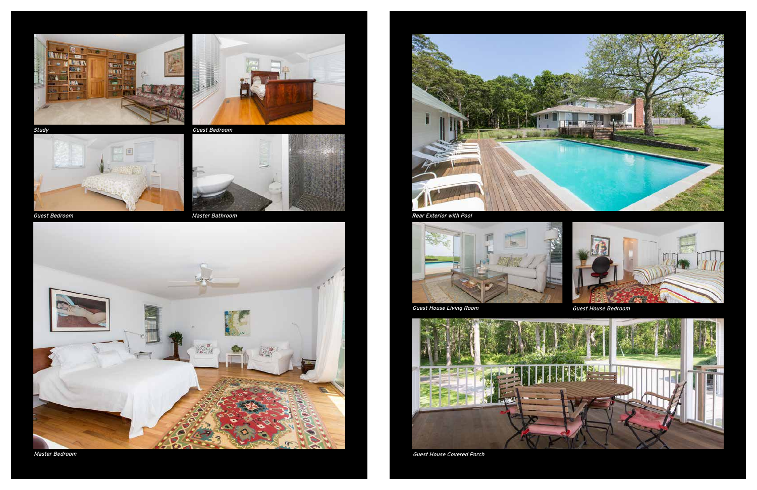Master Bathroom





Guest Bedroom **Rear Exterior with Pool** 





Guest House Living Room Guest House Bedroom





Study Guest Bedroom



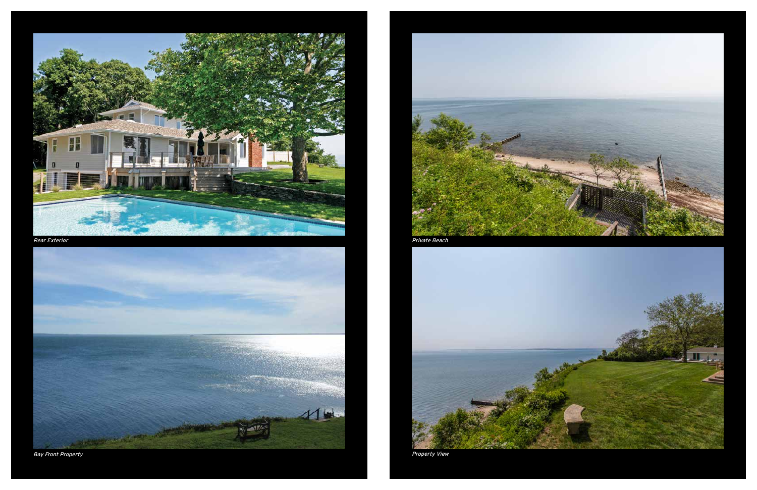



**Bay Front Property** 



Property View